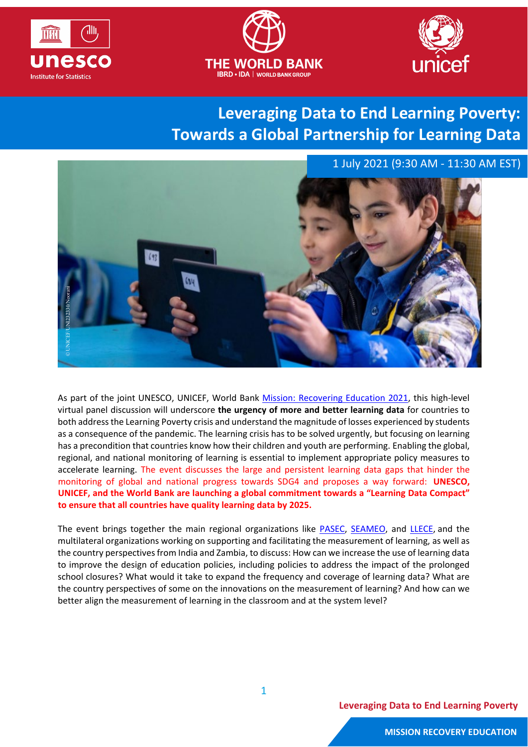





## **Leveraging Data to End Learning Poverty: Towards a Global Partnership for Learning Data**

1 July 2021 (9:30 AM - 11:30 AM EST)



As part of the joint UNESCO, UNICEF, World Bank [Mission: Recovering Education](https://thedocs.worldbank.org/en/doc/675f44dfad2b034dd0bc54ba2da25839-0090012021/original/BROCHURE-EN.pdf) 2021, this high-level virtual panel discussion will underscore **the urgency of more and better learning data** for countries to both addressthe Learning Poverty crisis and understand the magnitude of losses experienced by students as a consequence of the pandemic. The learning crisis has to be solved urgently, but focusing on learning has a precondition that countries know how their children and youth are performing. Enabling the global, regional, and national monitoring of learning is essential to implement appropriate policy measures to accelerate learning. The event discusses the large and persistent learning data gaps that hinder the monitoring of global and national progress towards SDG4 and proposes a way forward: **UNESCO, UNICEF, and the World Bank are launching a global commitment towards a "Learning Data Compact" to ensure that all countries have quality learning data by 2025.** 

The event brings together the main regional organizations like [PASEC,](http://www.pasec.confemen.org/) [SEAMEO,](https://www.seameo.org/w5) and [LLECE,](https://lleceunesco.org/) and the multilateral organizations working on supporting and facilitating the measurement of learning, as well as the country perspectives from India and Zambia, to discuss: How can we increase the use of learning data to improve the design of education policies, including policies to address the impact of the prolonged school closures? What would it take to expand the frequency and coverage of learning data? What are the country perspectives of some on the innovations on the measurement of learning? And how can we better align the measurement of learning in the classroom and at the system level?

**Leveraging Data to End Learning Poverty**